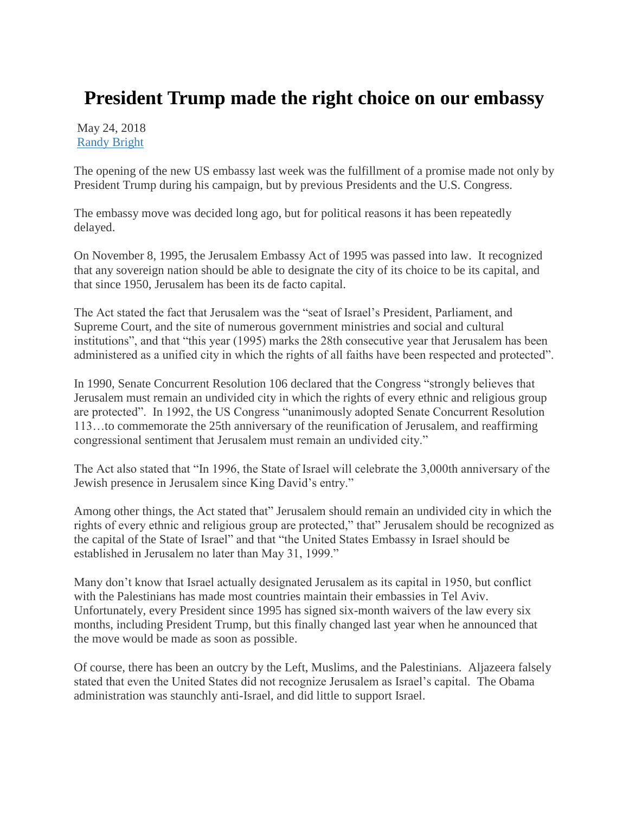## **President Trump made the right choice on our embassy**

May 24, 2018 [Randy Bright](http://tulsabeacon.com/author/randy-bright/)

The opening of the new US embassy last week was the fulfillment of a promise made not only by President Trump during his campaign, but by previous Presidents and the U.S. Congress.

The embassy move was decided long ago, but for political reasons it has been repeatedly delayed.

On November 8, 1995, the Jerusalem Embassy Act of 1995 was passed into law. It recognized that any sovereign nation should be able to designate the city of its choice to be its capital, and that since 1950, Jerusalem has been its de facto capital.

The Act stated the fact that Jerusalem was the "seat of Israel's President, Parliament, and Supreme Court, and the site of numerous government ministries and social and cultural institutions", and that "this year (1995) marks the 28th consecutive year that Jerusalem has been administered as a unified city in which the rights of all faiths have been respected and protected".

In 1990, Senate Concurrent Resolution 106 declared that the Congress "strongly believes that Jerusalem must remain an undivided city in which the rights of every ethnic and religious group are protected". In 1992, the US Congress "unanimously adopted Senate Concurrent Resolution 113…to commemorate the 25th anniversary of the reunification of Jerusalem, and reaffirming congressional sentiment that Jerusalem must remain an undivided city."

The Act also stated that "In 1996, the State of Israel will celebrate the 3,000th anniversary of the Jewish presence in Jerusalem since King David's entry."

Among other things, the Act stated that" Jerusalem should remain an undivided city in which the rights of every ethnic and religious group are protected," that" Jerusalem should be recognized as the capital of the State of Israel" and that "the United States Embassy in Israel should be established in Jerusalem no later than May 31, 1999."

Many don't know that Israel actually designated Jerusalem as its capital in 1950, but conflict with the Palestinians has made most countries maintain their embassies in Tel Aviv. Unfortunately, every President since 1995 has signed six-month waivers of the law every six months, including President Trump, but this finally changed last year when he announced that the move would be made as soon as possible.

Of course, there has been an outcry by the Left, Muslims, and the Palestinians. Aljazeera falsely stated that even the United States did not recognize Jerusalem as Israel's capital. The Obama administration was staunchly anti-Israel, and did little to support Israel.